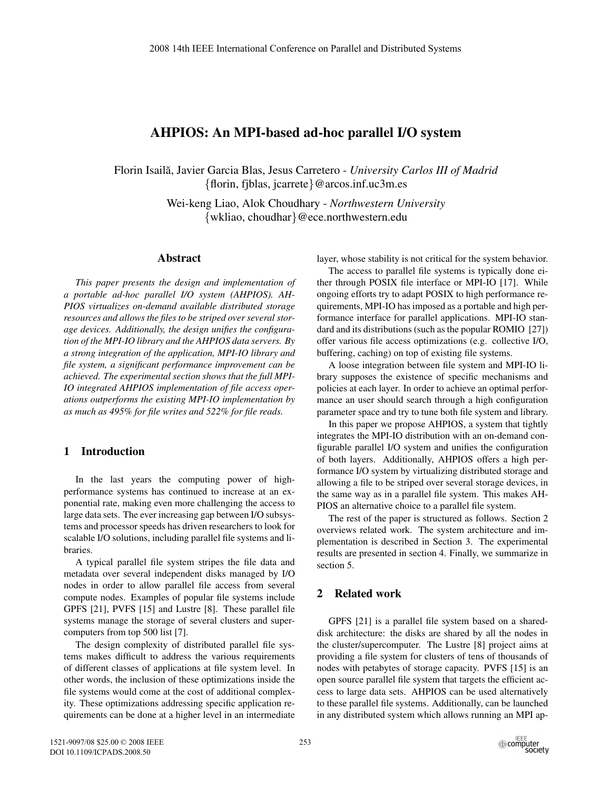# **AHPIOS: An MPI-based ad-hoc parallel I/O system**

Florin Isaila, Javier Garcia Blas, Jesus Carretero - ˘ *University Carlos III of Madrid* {florin, fjblas, jcarrete}@arcos.inf.uc3m.es

> Wei-keng Liao, Alok Choudhary - *Northwestern University* {wkliao, choudhar}@ece.northwestern.edu

# **Abstract**

*This paper presents the design and implementation of a portable ad-hoc parallel I/O system (AHPIOS). AH-PIOS virtualizes on-demand available distributed storage resources and allows the files to be striped over several storage devices. Additionally, the design unifies the configuration of the MPI-IO library and the AHPIOS data servers. By a strong integration of the application, MPI-IO library and file system, a significant performance improvement can be achieved. The experimental section shows that the full MPI-IO integrated AHPIOS implementation of file access operations outperforms the existing MPI-IO implementation by as much as 495% for file writes and 522% for file reads.*

# **1 Introduction**

In the last years the computing power of highperformance systems has continued to increase at an exponential rate, making even more challenging the access to large data sets. The ever increasing gap between I/O subsystems and processor speeds has driven researchers to look for scalable I/O solutions, including parallel file systems and libraries.

A typical parallel file system stripes the file data and metadata over several independent disks managed by I/O nodes in order to allow parallel file access from several compute nodes. Examples of popular file systems include GPFS [21], PVFS [15] and Lustre [8]. These parallel file systems manage the storage of several clusters and supercomputers from top 500 list [7].

The design complexity of distributed parallel file systems makes difficult to address the various requirements of different classes of applications at file system level. In other words, the inclusion of these optimizations inside the file systems would come at the cost of additional complexity. These optimizations addressing specific application requirements can be done at a higher level in an intermediate layer, whose stability is not critical for the system behavior.

The access to parallel file systems is typically done either through POSIX file interface or MPI-IO [17]. While ongoing efforts try to adapt POSIX to high performance requirements, MPI-IO has imposed as a portable and high performance interface for parallel applications. MPI-IO standard and its distributions (such as the popular ROMIO [27]) offer various file access optimizations (e.g. collective I/O, buffering, caching) on top of existing file systems.

A loose integration between file system and MPI-IO library supposes the existence of specific mechanisms and policies at each layer. In order to achieve an optimal performance an user should search through a high configuration parameter space and try to tune both file system and library.

In this paper we propose AHPIOS, a system that tightly integrates the MPI-IO distribution with an on-demand configurable parallel I/O system and unifies the configuration of both layers. Additionally, AHPIOS offers a high performance I/O system by virtualizing distributed storage and allowing a file to be striped over several storage devices, in the same way as in a parallel file system. This makes AH-PIOS an alternative choice to a parallel file system.

The rest of the paper is structured as follows. Section 2 overviews related work. The system architecture and implementation is described in Section 3. The experimental results are presented in section 4. Finally, we summarize in section 5.

# **2 Related work**

GPFS [21] is a parallel file system based on a shareddisk architecture: the disks are shared by all the nodes in the cluster/supercomputer. The Lustre [8] project aims at providing a file system for clusters of tens of thousands of nodes with petabytes of storage capacity. PVFS [15] is an open source parallel file system that targets the efficient access to large data sets. AHPIOS can be used alternatively to these parallel file systems. Additionally, can be launched in any distributed system which allows running an MPI ap-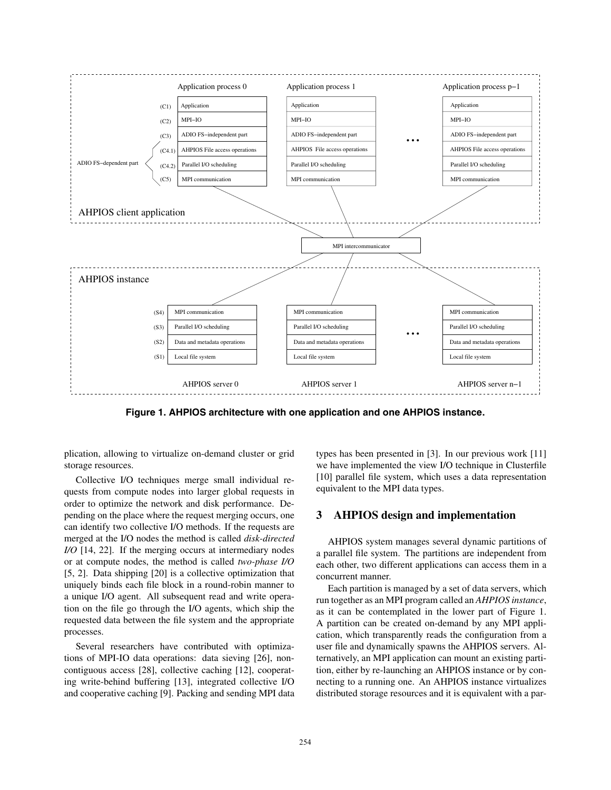

**Figure 1. AHPIOS architecture with one application and one AHPIOS instance.**

plication, allowing to virtualize on-demand cluster or grid storage resources.

Collective I/O techniques merge small individual requests from compute nodes into larger global requests in order to optimize the network and disk performance. Depending on the place where the request merging occurs, one can identify two collective I/O methods. If the requests are merged at the I/O nodes the method is called *disk-directed I/O* [14, 22]. If the merging occurs at intermediary nodes or at compute nodes, the method is called *two-phase I/O* [5, 2]. Data shipping [20] is a collective optimization that uniquely binds each file block in a round-robin manner to a unique I/O agent. All subsequent read and write operation on the file go through the I/O agents, which ship the requested data between the file system and the appropriate processes.

Several researchers have contributed with optimizations of MPI-IO data operations: data sieving [26], noncontiguous access [28], collective caching [12], cooperating write-behind buffering [13], integrated collective I/O and cooperative caching [9]. Packing and sending MPI data types has been presented in [3]. In our previous work [11] we have implemented the view I/O technique in Clusterfile [10] parallel file system, which uses a data representation equivalent to the MPI data types.

# **3 AHPIOS design and implementation**

AHPIOS system manages several dynamic partitions of a parallel file system. The partitions are independent from each other, two different applications can access them in a concurrent manner.

Each partition is managed by a set of data servers, which run together as an MPI program called an *AHPIOS instance*, as it can be contemplated in the lower part of Figure 1. A partition can be created on-demand by any MPI application, which transparently reads the configuration from a user file and dynamically spawns the AHPIOS servers. Alternatively, an MPI application can mount an existing partition, either by re-launching an AHPIOS instance or by connecting to a running one. An AHPIOS instance virtualizes distributed storage resources and it is equivalent with a par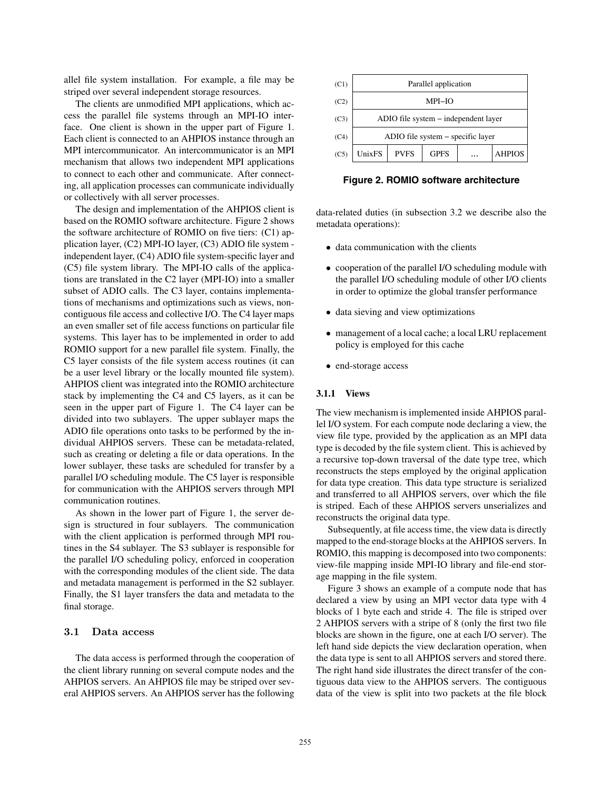allel file system installation. For example, a file may be striped over several independent storage resources.

The clients are unmodified MPI applications, which access the parallel file systems through an MPI-IO interface. One client is shown in the upper part of Figure 1. Each client is connected to an AHPIOS instance through an MPI intercommunicator. An intercommunicator is an MPI mechanism that allows two independent MPI applications to connect to each other and communicate. After connecting, all application processes can communicate individually or collectively with all server processes.

The design and implementation of the AHPIOS client is based on the ROMIO software architecture. Figure 2 shows the software architecture of ROMIO on five tiers: (C1) application layer, (C2) MPI-IO layer, (C3) ADIO file system independent layer, (C4) ADIO file system-specific layer and (C5) file system library. The MPI-IO calls of the applications are translated in the C2 layer (MPI-IO) into a smaller subset of ADIO calls. The C3 layer, contains implementations of mechanisms and optimizations such as views, noncontiguous file access and collective I/O. The C4 layer maps an even smaller set of file access functions on particular file systems. This layer has to be implemented in order to add ROMIO support for a new parallel file system. Finally, the C5 layer consists of the file system access routines (it can be a user level library or the locally mounted file system). AHPIOS client was integrated into the ROMIO architecture stack by implementing the C4 and C5 layers, as it can be seen in the upper part of Figure 1. The C4 layer can be divided into two sublayers. The upper sublayer maps the ADIO file operations onto tasks to be performed by the individual AHPIOS servers. These can be metadata-related, such as creating or deleting a file or data operations. In the lower sublayer, these tasks are scheduled for transfer by a parallel I/O scheduling module. The C5 layer is responsible for communication with the AHPIOS servers through MPI communication routines.

As shown in the lower part of Figure 1, the server design is structured in four sublayers. The communication with the client application is performed through MPI routines in the S4 sublayer. The S3 sublayer is responsible for the parallel I/O scheduling policy, enforced in cooperation with the corresponding modules of the client side. The data and metadata management is performed in the S2 sublayer. Finally, the S1 layer transfers the data and metadata to the final storage.

# 3.1 Data access

The data access is performed through the cooperation of the client library running on several compute nodes and the AHPIOS servers. An AHPIOS file may be striped over several AHPIOS servers. An AHPIOS server has the following

| (C1) | Parallel application                 |             |             |  |               |
|------|--------------------------------------|-------------|-------------|--|---------------|
| (C2) | MPI-IO                               |             |             |  |               |
| (C3) | ADIO file system – independent layer |             |             |  |               |
| (C4) | ADIO file system – specific layer    |             |             |  |               |
| (C5) | UnixFS                               | <b>PVFS</b> | <b>GPFS</b> |  | <b>AHPIOS</b> |

**Figure 2. ROMIO software architecture**

data-related duties (in subsection 3.2 we describe also the metadata operations):

- data communication with the clients
- cooperation of the parallel I/O scheduling module with the parallel I/O scheduling module of other I/O clients in order to optimize the global transfer performance
- data sieving and view optimizations
- management of a local cache; a local LRU replacement policy is employed for this cache
- end-storage access

#### **3.1.1 Views**

The view mechanism is implemented inside AHPIOS parallel I/O system. For each compute node declaring a view, the view file type, provided by the application as an MPI data type is decoded by the file system client. This is achieved by a recursive top-down traversal of the date type tree, which reconstructs the steps employed by the original application for data type creation. This data type structure is serialized and transferred to all AHPIOS servers, over which the file is striped. Each of these AHPIOS servers unserializes and reconstructs the original data type.

Subsequently, at file access time, the view data is directly mapped to the end-storage blocks at the AHPIOS servers. In ROMIO, this mapping is decomposed into two components: view-file mapping inside MPI-IO library and file-end storage mapping in the file system.

Figure 3 shows an example of a compute node that has declared a view by using an MPI vector data type with 4 blocks of 1 byte each and stride 4. The file is striped over 2 AHPIOS servers with a stripe of 8 (only the first two file blocks are shown in the figure, one at each I/O server). The left hand side depicts the view declaration operation, when the data type is sent to all AHPIOS servers and stored there. The right hand side illustrates the direct transfer of the contiguous data view to the AHPIOS servers. The contiguous data of the view is split into two packets at the file block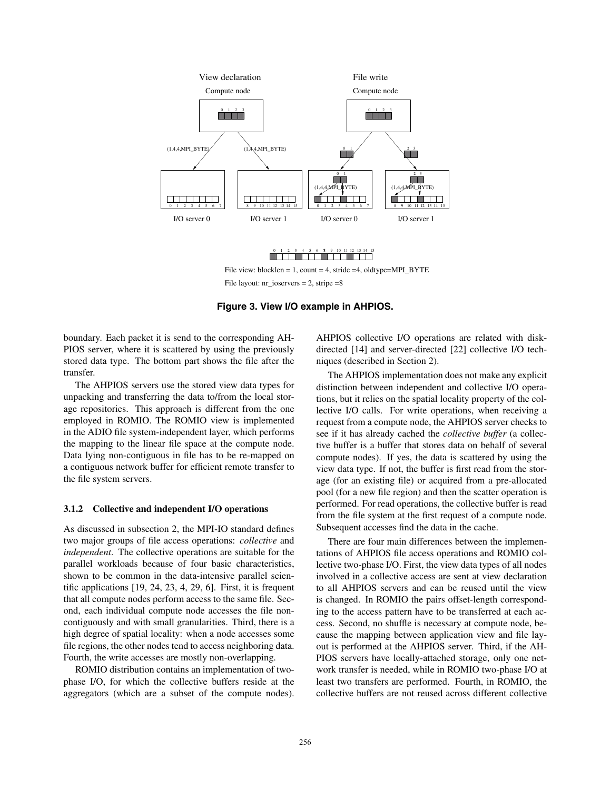

0 1 2 3 4 5 6 **8 9 10 11 12 13 14 15** 

File view: blocklen = 1, count = 4, stride = 4, oldtype= $MPI_BYTE$ File layout: nr\_ioservers = 2, stripe =8

**Figure 3. View I/O example in AHPIOS.**

boundary. Each packet it is send to the corresponding AH-PIOS server, where it is scattered by using the previously stored data type. The bottom part shows the file after the transfer.

The AHPIOS servers use the stored view data types for unpacking and transferring the data to/from the local storage repositories. This approach is different from the one employed in ROMIO. The ROMIO view is implemented in the ADIO file system-independent layer, which performs the mapping to the linear file space at the compute node. Data lying non-contiguous in file has to be re-mapped on a contiguous network buffer for efficient remote transfer to the file system servers.

#### **3.1.2 Collective and independent I/O operations**

As discussed in subsection 2, the MPI-IO standard defines two major groups of file access operations: *collective* and *independent*. The collective operations are suitable for the parallel workloads because of four basic characteristics, shown to be common in the data-intensive parallel scientific applications [19, 24, 23, 4, 29, 6]. First, it is frequent that all compute nodes perform access to the same file. Second, each individual compute node accesses the file noncontiguously and with small granularities. Third, there is a high degree of spatial locality: when a node accesses some file regions, the other nodes tend to access neighboring data. Fourth, the write accesses are mostly non-overlapping.

ROMIO distribution contains an implementation of twophase I/O, for which the collective buffers reside at the aggregators (which are a subset of the compute nodes).

AHPIOS collective I/O operations are related with diskdirected [14] and server-directed [22] collective I/O techniques (described in Section 2).

The AHPIOS implementation does not make any explicit distinction between independent and collective I/O operations, but it relies on the spatial locality property of the collective I/O calls. For write operations, when receiving a request from a compute node, the AHPIOS server checks to see if it has already cached the *collective buffer* (a collective buffer is a buffer that stores data on behalf of several compute nodes). If yes, the data is scattered by using the view data type. If not, the buffer is first read from the storage (for an existing file) or acquired from a pre-allocated pool (for a new file region) and then the scatter operation is performed. For read operations, the collective buffer is read from the file system at the first request of a compute node. Subsequent accesses find the data in the cache.

There are four main differences between the implementations of AHPIOS file access operations and ROMIO collective two-phase I/O. First, the view data types of all nodes involved in a collective access are sent at view declaration to all AHPIOS servers and can be reused until the view is changed. In ROMIO the pairs offset-length corresponding to the access pattern have to be transferred at each access. Second, no shuffle is necessary at compute node, because the mapping between application view and file layout is performed at the AHPIOS server. Third, if the AH-PIOS servers have locally-attached storage, only one network transfer is needed, while in ROMIO two-phase I/O at least two transfers are performed. Fourth, in ROMIO, the collective buffers are not reused across different collective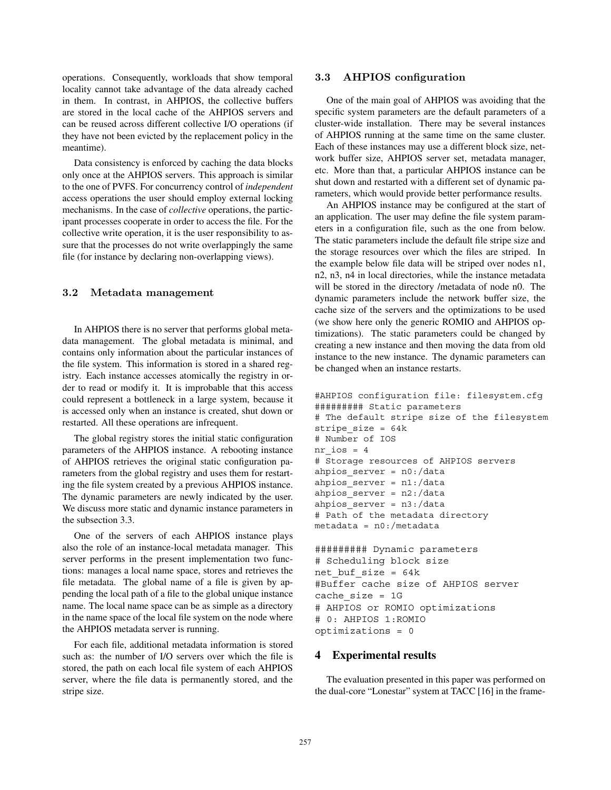operations. Consequently, workloads that show temporal locality cannot take advantage of the data already cached in them. In contrast, in AHPIOS, the collective buffers are stored in the local cache of the AHPIOS servers and can be reused across different collective I/O operations (if they have not been evicted by the replacement policy in the meantime).

Data consistency is enforced by caching the data blocks only once at the AHPIOS servers. This approach is similar to the one of PVFS. For concurrency control of *independent* access operations the user should employ external locking mechanisms. In the case of *collective* operations, the participant processes cooperate in order to access the file. For the collective write operation, it is the user responsibility to assure that the processes do not write overlappingly the same file (for instance by declaring non-overlapping views).

#### 3.2 Metadata management

In AHPIOS there is no server that performs global metadata management. The global metadata is minimal, and contains only information about the particular instances of the file system. This information is stored in a shared registry. Each instance accesses atomically the registry in order to read or modify it. It is improbable that this access could represent a bottleneck in a large system, because it is accessed only when an instance is created, shut down or restarted. All these operations are infrequent.

The global registry stores the initial static configuration parameters of the AHPIOS instance. A rebooting instance of AHPIOS retrieves the original static configuration parameters from the global registry and uses them for restarting the file system created by a previous AHPIOS instance. The dynamic parameters are newly indicated by the user. We discuss more static and dynamic instance parameters in the subsection 3.3.

One of the servers of each AHPIOS instance plays also the role of an instance-local metadata manager. This server performs in the present implementation two functions: manages a local name space, stores and retrieves the file metadata. The global name of a file is given by appending the local path of a file to the global unique instance name. The local name space can be as simple as a directory in the name space of the local file system on the node where the AHPIOS metadata server is running.

For each file, additional metadata information is stored such as: the number of I/O servers over which the file is stored, the path on each local file system of each AHPIOS server, where the file data is permanently stored, and the stripe size.

# 3.3 AHPIOS configuration

One of the main goal of AHPIOS was avoiding that the specific system parameters are the default parameters of a cluster-wide installation. There may be several instances of AHPIOS running at the same time on the same cluster. Each of these instances may use a different block size, network buffer size, AHPIOS server set, metadata manager, etc. More than that, a particular AHPIOS instance can be shut down and restarted with a different set of dynamic parameters, which would provide better performance results.

An AHPIOS instance may be configured at the start of an application. The user may define the file system parameters in a configuration file, such as the one from below. The static parameters include the default file stripe size and the storage resources over which the files are striped. In the example below file data will be striped over nodes n1, n2, n3, n4 in local directories, while the instance metadata will be stored in the directory /metadata of node n0. The dynamic parameters include the network buffer size, the cache size of the servers and the optimizations to be used (we show here only the generic ROMIO and AHPIOS optimizations). The static parameters could be changed by creating a new instance and then moving the data from old instance to the new instance. The dynamic parameters can be changed when an instance restarts.

```
#AHPIOS configuration file: filesystem.cfg
######### Static parameters
# The default stripe size of the filesystem
stripe_size = 64k
# Number of IOS
nr ios = 4# Storage resources of AHPIOS servers
ahpios_server = n0:/data
ahpios_server = n1:/data
ahpios_server = n2:/data
ahpios_server = n3:/data
# Path of the metadata directory
metadata = n0:/metadata
```

```
######### Dynamic parameters
# Scheduling block size
net buf size = 64k#Buffer cache size of AHPIOS server
cache size = 1G# AHPIOS or ROMIO optimizations
# 0: AHPIOS 1:ROMIO
optimizations = 0
```
## **4 Experimental results**

The evaluation presented in this paper was performed on the dual-core "Lonestar" system at TACC [16] in the frame-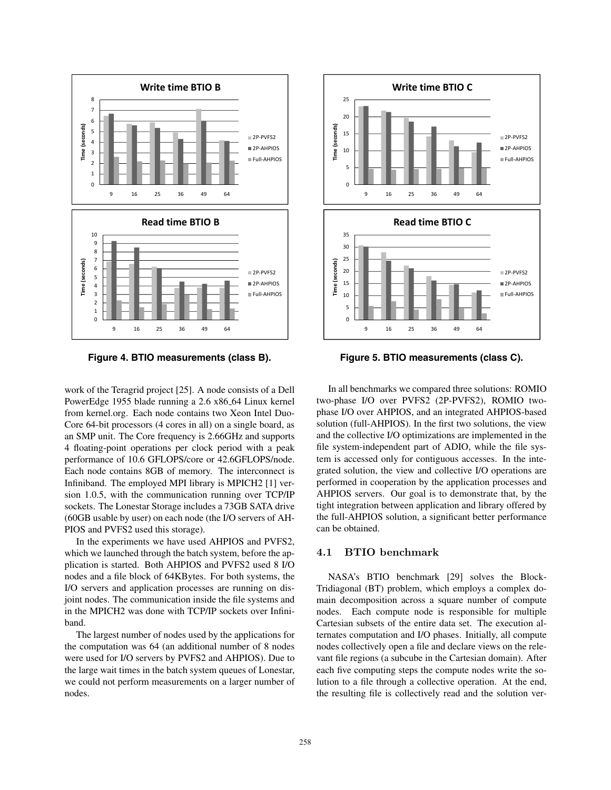

**Figure 4. BTIO measurements (class B).**

work of the Teragrid project [25]. A node consists of a Dell PowerEdge 1955 blade running a 2.6 x86 64 Linux kernel from kernel.org. Each node contains two Xeon Intel Duo-Core 64-bit processors (4 cores in all) on a single board, as an SMP unit. The Core frequency is 2.66GHz and supports 4 floating-point operations per clock period with a peak performance of 10.6 GFLOPS/core or 42.6GFLOPS/node. Each node contains 8GB of memory. The interconnect is Infiniband. The employed MPI library is MPICH2 [1] version 1.0.5, with the communication running over TCP/IP sockets. The Lonestar Storage includes a 73GB SATA drive (60GB usable by user) on each node (the I/O servers of AH-PIOS and PVFS2 used this storage).

In the experiments we have used AHPIOS and PVFS2, which we launched through the batch system, before the application is started. Both AHPIOS and PVFS2 used 8 I/O nodes and a file block of 64KBytes. For both systems, the I/O servers and application processes are running on disjoint nodes. The communication inside the file systems and in the MPICH2 was done with TCP/IP sockets over Infiniband.

The largest number of nodes used by the applications for the computation was 64 (an additional number of 8 nodes were used for I/O servers by PVFS2 and AHPIOS). Due to the large wait times in the batch system queues of Lonestar, we could not perform measurements on a larger number of nodes.



**Figure 5. BTIO measurements (class C).**

In all benchmarks we compared three solutions: ROMIO two-phase I/O over PVFS2 (2P-PVFS2), ROMIO twophase I/O over AHPIOS, and an integrated AHPIOS-based solution (full-AHPIOS). In the first two solutions, the view and the collective I/O optimizations are implemented in the file system-independent part of ADIO, while the file system is accessed only for contiguous accesses. In the integrated solution, the view and collective I/O operations are performed in cooperation by the application processes and AHPIOS servers. Our goal is to demonstrate that, by the tight integration between application and library offered by the full-AHPIOS solution, a significant better performance can be obtained.

### 4.1 BTIO benchmark

NASA's BTIO benchmark [29] solves the Block-Tridiagonal (BT) problem, which employs a complex domain decomposition across a square number of compute nodes. Each compute node is responsible for multiple Cartesian subsets of the entire data set. The execution alternates computation and I/O phases. Initially, all compute nodes collectively open a file and declare views on the relevant file regions (a subcube in the Cartesian domain). After each five computing steps the compute nodes write the solution to a file through a collective operation. At the end, the resulting file is collectively read and the solution ver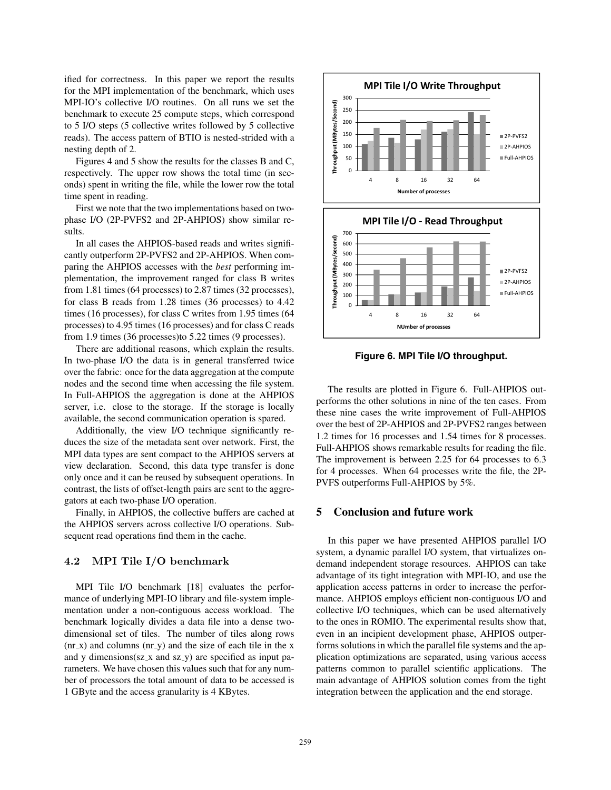ified for correctness. In this paper we report the results for the MPI implementation of the benchmark, which uses MPI-IO's collective I/O routines. On all runs we set the benchmark to execute 25 compute steps, which correspond to 5 I/O steps (5 collective writes followed by 5 collective reads). The access pattern of BTIO is nested-strided with a nesting depth of 2.

Figures 4 and 5 show the results for the classes B and C, respectively. The upper row shows the total time (in seconds) spent in writing the file, while the lower row the total time spent in reading.

First we note that the two implementations based on twophase I/O (2P-PVFS2 and 2P-AHPIOS) show similar results.

In all cases the AHPIOS-based reads and writes significantly outperform 2P-PVFS2 and 2P-AHPIOS. When comparing the AHPIOS accesses with the *best* performing implementation, the improvement ranged for class B writes from 1.81 times (64 processes) to 2.87 times (32 processes), for class B reads from 1.28 times (36 processes) to 4.42 times (16 processes), for class C writes from 1.95 times (64 processes) to 4.95 times (16 processes) and for class C reads from 1.9 times (36 processes)to 5.22 times (9 processes).

There are additional reasons, which explain the results. In two-phase I/O the data is in general transferred twice over the fabric: once for the data aggregation at the compute nodes and the second time when accessing the file system. In Full-AHPIOS the aggregation is done at the AHPIOS server, i.e. close to the storage. If the storage is locally available, the second communication operation is spared.

Additionally, the view I/O technique significantly reduces the size of the metadata sent over network. First, the MPI data types are sent compact to the AHPIOS servers at view declaration. Second, this data type transfer is done only once and it can be reused by subsequent operations. In contrast, the lists of offset-length pairs are sent to the aggregators at each two-phase I/O operation.

Finally, in AHPIOS, the collective buffers are cached at the AHPIOS servers across collective I/O operations. Subsequent read operations find them in the cache.

# 4.2 MPI Tile I/O benchmark

MPI Tile I/O benchmark [18] evaluates the performance of underlying MPI-IO library and file-system implementation under a non-contiguous access workload. The benchmark logically divides a data file into a dense twodimensional set of tiles. The number of tiles along rows  $(nr_x)$  and columns  $(nr_y)$  and the size of each tile in the x and y dimensions( $sz_x$  and  $sz_y$ ) are specified as input parameters. We have chosen this values such that for any number of processors the total amount of data to be accessed is 1 GByte and the access granularity is 4 KBytes.



**Figure 6. MPI Tile I/O throughput.**

The results are plotted in Figure 6. Full-AHPIOS outperforms the other solutions in nine of the ten cases. From these nine cases the write improvement of Full-AHPIOS over the best of 2P-AHPIOS and 2P-PVFS2 ranges between 1.2 times for 16 processes and 1.54 times for 8 processes. Full-AHPIOS shows remarkable results for reading the file. The improvement is between 2.25 for 64 processes to 6.3 for 4 processes. When 64 processes write the file, the 2P-PVFS outperforms Full-AHPIOS by 5%.

# **5 Conclusion and future work**

In this paper we have presented AHPIOS parallel I/O system, a dynamic parallel I/O system, that virtualizes ondemand independent storage resources. AHPIOS can take advantage of its tight integration with MPI-IO, and use the application access patterns in order to increase the performance. AHPIOS employs efficient non-contiguous I/O and collective I/O techniques, which can be used alternatively to the ones in ROMIO. The experimental results show that, even in an incipient development phase, AHPIOS outperforms solutions in which the parallel file systems and the application optimizations are separated, using various access patterns common to parallel scientific applications. The main advantage of AHPIOS solution comes from the tight integration between the application and the end storage.